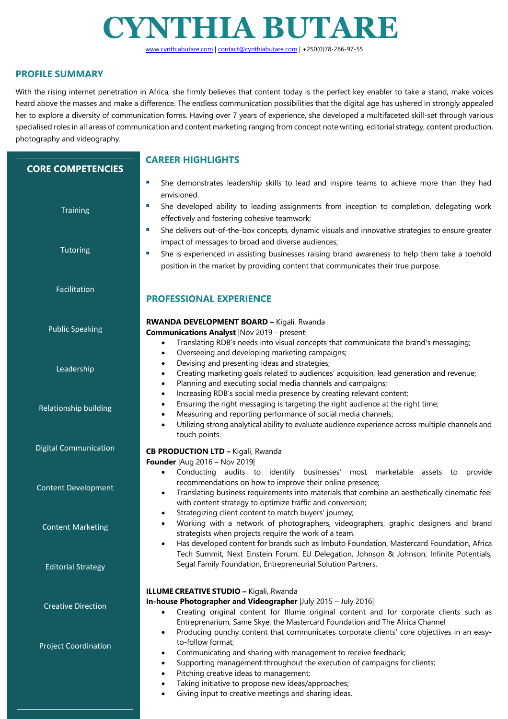# **CYNTHIA BUTARE**

www.cynthiabutare.com | contact@cynthiabutare.com | +250(0)78-286-97-55

# **PROFILE SUMMARY**

**CORE COMPETENCIES**

**Training** 

**Tutoring** 

Facilitation

Public Speaking

Leadership

Relationship building

Digital Communication

Content Development

Content Marketing

Editorial Strategy

 heard above the masses and make a difference. The endless communication possibilities that the digital age has ushered in strongly appealed  her to explore a diversity of communication forms. Having over 7 years of experience, she developed a multifaceted skill-set through various photography and videography. With the rising internet penetration in Africa, she firmly believes that content today is the perfect key enabler to take a stand, make voices specialised roles in all areas of communication and content marketing ranging from concept note writing, editorial strategy, content production,

# **CAREER HIGHLIGHTS**

- § She demonstrates leadership skills to lead and inspire teams to achieve more than they had envisioned.
- She developed ability to leading assignments from inception to completion, delegating work effectively and fostering cohesive teamwork;
- She delivers out-of-the-box concepts, dynamic visuals and innovative strategies to ensure greater impact of messages to broad and diverse audiences;
- She is experienced in assisting businesses raising brand awareness to help them take a toehold position in the market by providing content that communicates their true purpose.

# **PROFESSIONAL EXPERIENCE**

#### **RWANDA DEVELOPMENT BOARD –** Kigali, Rwanda

**Communications Analyst** |Nov 2019 - present|

- Translating RDB's needs into visual concepts that communicate the brand's messaging;
- Overseeing and developing marketing campaigns;
- Devising and presenting ideas and strategies;
- Creating marketing goals related to audiences' acquisition, lead generation and revenue;
- Planning and executing social media channels and campaigns;
- Increasing RDB's social media presence by creating relevant content;
- Ensuring the right messaging is targeting the right audience at the right time;
- Measuring and reporting performance of social media channels;
- Utilizing strong analytical ability to evaluate audience experience across multiple channels and touch points.

#### **CB PRODUCTION LTD –** Kigali, Rwanda

**Founder** |Aug 2016 – Nov 2019|

- Conducting audits to identify businesses' most marketable assets to provide recommendations on how to improve their online presence;
- Translating business requirements into materials that combine an aesthetically cinematic feel with content strategy to optimize traffic and conversion;
- Strategizing client content to match buyers' journey;
- Working with a network of photographers, videographers, graphic designers and brand strategists when projects require the work of a team.
- Has developed content for brands such as Imbuto Foundation, Mastercard Foundation, Africa Tech Summit, Next Einstein Forum, EU Delegation, Johnson & Johnson, Infinite Potentials, Segal Family Foundation, Entrepreneurial Solution Partners.

#### **ILLUME CREATIVE STUDIO –** Kigali, Rwanda

#### **In-house Photographer and Videographer** |July 2015 – July 2016|

- Creating original content for Illume original content and for corporate clients such as Entreprenarium, Same Skye, the Mastercard Foundation and The Africa Channel
- Producing punchy content that communicates corporate clients' core objectives in an easyto-follow format;
- Communicating and sharing with management to receive feedback;
- Supporting management throughout the execution of campaigns for clients;
- Pitching creative ideas to management;
- Taking initiative to propose new ideas/approaches;
- Giving input to creative meetings and sharing ideas.

Project Coordination

Creative Direction